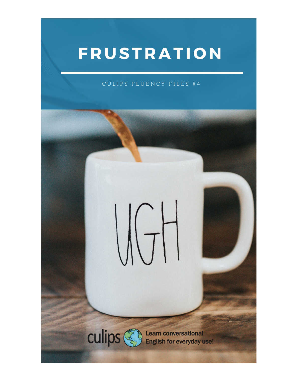# FRUSTRATION

#### CULIPS FLUENCY FILES #4

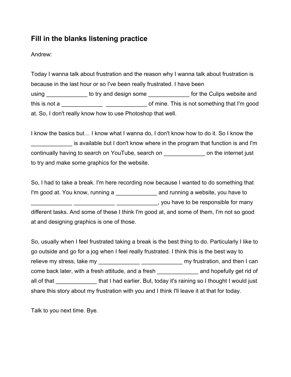### **Fill in the blanks listening practice**

Andrew:

Today I wanna talk about frustration and the reason why I wanna talk about frustration is because in the last hour or so I've been really frustrated. I have been using \_\_\_\_\_\_\_\_\_\_\_\_\_ to try and design some discussed for the Culips website and this is not a \_\_\_\_\_\_\_\_\_\_\_\_\_ \_\_\_\_\_\_\_\_\_\_\_\_\_ of mine. This is not something that I'm good at. So, I don't really know how to use Photoshop that well.

I know the basics but… I know what I wanna do, I don't know how to do it. So I know the is available but I don't know where in the program that function is and I'm continually having to search on YouTube, search on \_\_\_\_\_\_\_\_\_\_\_\_\_\_\_\_ on the internet just to try and make some graphics for the website.

So, I had to take a break. I'm here recording now because I wanted to do something that I'm good at. You know, running a \_\_\_\_\_\_\_\_\_\_\_\_\_\_\_ and running a website, you have to \_\_\_\_\_\_\_\_\_\_\_\_\_ \_\_\_\_\_\_\_\_\_\_\_\_\_ \_\_\_\_\_\_\_\_\_\_\_\_\_, you have to be responsible for many

different tasks. And some of these I think I'm good at, and some of them, I'm not so good at and designing graphics is one of those.

So, usually when I feel frustrated taking a break is the best thing to do. Particularly I like to go outside and go for a jog when I feel really frustrated. I think this is the best way to relieve my stress, take my \_\_\_\_\_\_\_\_\_\_\_\_\_\_\_\_\_\_\_\_\_\_\_\_\_\_\_\_\_\_\_\_\_\_ my frustration, and then I can come back later, with a fresh attitude, and a fresh \_\_\_\_\_\_\_\_\_\_\_\_\_ and hopefully get rid of all of that \_\_\_\_\_\_\_\_\_\_\_\_\_\_ that I had earlier. But, today it's raining so I thought I would just share this story about my frustration with you and I think I'll leave it at that for today.

Talk to you next time. Bye.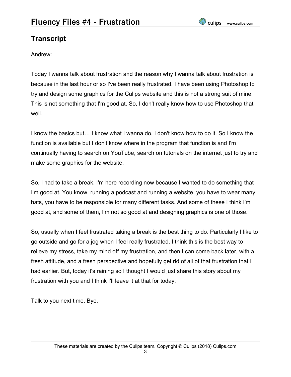## **Transcript**

Andrew:

Today I wanna talk about frustration and the reason why I wanna talk about frustration is because in the last hour or so I've been really frustrated. I have been using Photoshop to try and design some graphics for the Culips website and this is not a strong suit of mine. This is not something that I'm good at. So, I don't really know how to use Photoshop that well.

I know the basics but… I know what I wanna do, I don't know how to do it. So I know the function is available but I don't know where in the program that function is and I'm continually having to search on YouTube, search on tutorials on the internet just to try and make some graphics for the website.

So, I had to take a break. I'm here recording now because I wanted to do something that I'm good at. You know, running a podcast and running a website, you have to wear many hats, you have to be responsible for many different tasks. And some of these I think I'm good at, and some of them, I'm not so good at and designing graphics is one of those.

So, usually when I feel frustrated taking a break is the best thing to do. Particularly I like to go outside and go for a jog when I feel really frustrated. I think this is the best way to relieve my stress, take my mind off my frustration, and then I can come back later, with a fresh attitude, and a fresh perspective and hopefully get rid of all of that frustration that I had earlier. But, today it's raining so I thought I would just share this story about my frustration with you and I think I'll leave it at that for today.

Talk to you next time. Bye.